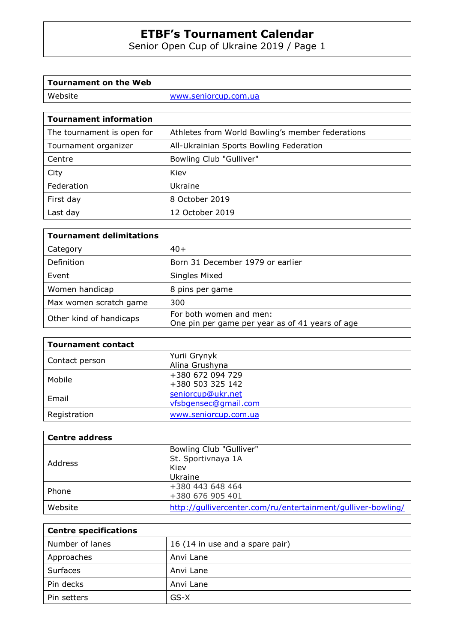Senior Open Cup of Ukraine 2019 / Page 1

| Tournament on the Web |                      |
|-----------------------|----------------------|
| Website               | www.seniorcup.com.ua |
|                       |                      |

| <b>Tournament information</b> |                                                  |
|-------------------------------|--------------------------------------------------|
| The tournament is open for    | Athletes from World Bowling's member federations |
| Tournament organizer          | All-Ukrainian Sports Bowling Federation          |
| Centre                        | Bowling Club "Gulliver"                          |
| City                          | Kiev                                             |
| Federation                    | Ukraine                                          |
| First day                     | 8 October 2019                                   |
| Last day                      | 12 October 2019                                  |

| <b>Tournament delimitations</b> |                                                                            |
|---------------------------------|----------------------------------------------------------------------------|
| Category                        | $40+$                                                                      |
| Definition                      | Born 31 December 1979 or earlier                                           |
| Event                           | Singles Mixed                                                              |
| Women handicap                  | 8 pins per game                                                            |
| Max women scratch game          | 300                                                                        |
| Other kind of handicaps         | For both women and men:<br>One pin per game per year as of 41 years of age |

| <b>Tournament contact</b> |                      |
|---------------------------|----------------------|
| Contact person            | Yurii Grynyk         |
|                           | Alina Grushyna       |
| Mobile                    | +380 672 094 729     |
|                           | +380 503 325 142     |
| Email                     | seniorcup@ukr.net    |
|                           | vfsbgensec@gmail.com |
| Registration              | www.seniorcup.com.ua |

| <b>Centre address</b> |                                                              |
|-----------------------|--------------------------------------------------------------|
| Address               | Bowling Club "Gulliver"<br>St. Sportivnaya 1A                |
|                       | Kiev                                                         |
|                       | Ukraine                                                      |
| Phone                 | +380 443 648 464                                             |
|                       | +380 676 905 401                                             |
| Website               | http://qullivercenter.com/ru/entertainment/qulliver-bowling/ |

| <b>Centre specifications</b> |                                 |
|------------------------------|---------------------------------|
| Number of lanes              | 16 (14 in use and a spare pair) |
| Approaches                   | Anvi Lane                       |
| Surfaces                     | Anvi Lane                       |
| Pin decks                    | Anvi Lane                       |
| Pin setters                  | GS-X                            |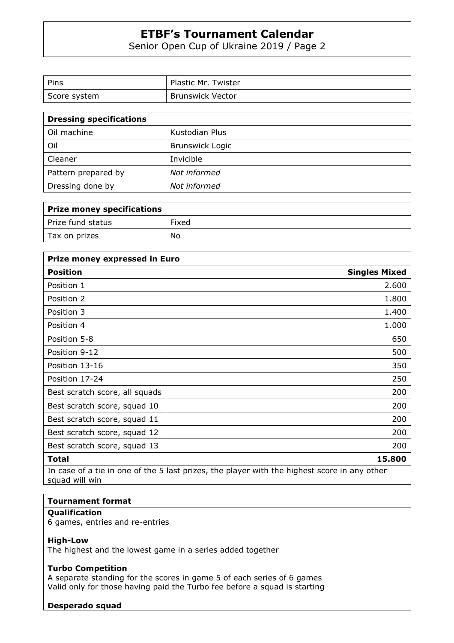Senior Open Cup of Ukraine 2019 / Page 2

| Pins         | Plastic Mr. Twister     |
|--------------|-------------------------|
| Score system | <b>Brunswick Vector</b> |

| <b>Dressing specifications</b> |                        |
|--------------------------------|------------------------|
| Oil machine                    | Kustodian Plus         |
| Oil                            | <b>Brunswick Logic</b> |
| Cleaner                        | Invicible              |
| Pattern prepared by            | Not informed           |
| Dressing done by               | Not informed           |

| Prize money specifications |       |
|----------------------------|-------|
| Prize fund status          | Fixed |
| Tax on prizes              | No    |

| Prize money expressed in Euro  |                                                                                              |
|--------------------------------|----------------------------------------------------------------------------------------------|
| <b>Position</b>                | <b>Singles Mixed</b>                                                                         |
| Position 1                     | 2.600                                                                                        |
| Position 2                     | 1.800                                                                                        |
| Position 3                     | 1.400                                                                                        |
| Position 4                     | 1.000                                                                                        |
| Position 5-8                   | 650                                                                                          |
| Position 9-12                  | 500                                                                                          |
| Position 13-16                 | 350                                                                                          |
| Position 17-24                 | 250                                                                                          |
| Best scratch score, all squads | 200                                                                                          |
| Best scratch score, squad 10   | 200                                                                                          |
| Best scratch score, squad 11   | 200                                                                                          |
| Best scratch score, squad 12   | 200                                                                                          |
| Best scratch score, squad 13   | 200                                                                                          |
| Total                          | 15.800                                                                                       |
| squad will win                 | In case of a tie in one of the 5 last prizes, the player with the highest score in any other |

## **Tournament format**

### **Qualification**

6 games, entries and re-entries

#### **High-Low**

The highest and the lowest game in a series added together

#### **Turbo Competition**

A separate standing for the scores in game 5 of each series of 6 games Valid only for those having paid the Turbo fee before a squad is starting

#### **Desperado squad**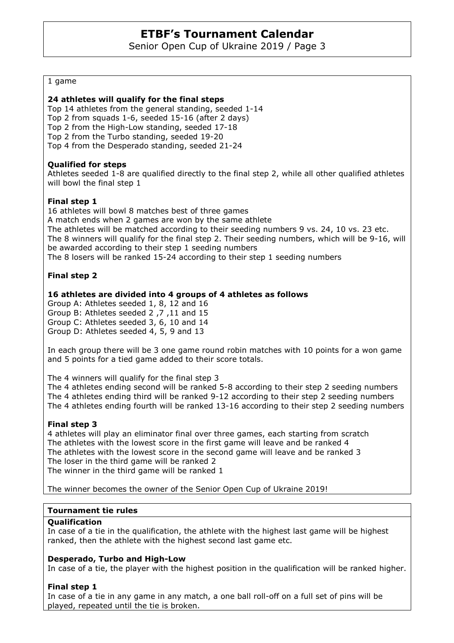Senior Open Cup of Ukraine 2019 / Page 3

#### 1 game

#### **24 athletes will qualify for the final steps**

Top 14 athletes from the general standing, seeded 1-14 Top 2 from squads 1-6, seeded 15-16 (after 2 days) Top 2 from the High-Low standing, seeded 17-18 Top 2 from the Turbo standing, seeded 19-20 Top 4 from the Desperado standing, seeded 21-24

#### **Qualified for steps**

Athletes seeded 1-8 are qualified directly to the final step 2, while all other qualified athletes will bowl the final step 1

#### **Final step 1**

16 athletes will bowl 8 matches best of three games A match ends when 2 games are won by the same athlete The athletes will be matched according to their seeding numbers 9 vs. 24, 10 vs. 23 etc. The 8 winners will qualify for the final step 2. Their seeding numbers, which will be 9-16, will be awarded according to their step 1 seeding numbers The 8 losers will be ranked 15-24 according to their step 1 seeding numbers

#### **Final step 2**

#### **16 athletes are divided into 4 groups of 4 athletes as follows**

Group A: Athletes seeded 1, 8, 12 and 16 Group B: Athletes seeded 2 ,7 ,11 and 15 Group C: Athletes seeded 3, 6, 10 and 14 Group D: Athletes seeded 4, 5, 9 and 13

In each group there will be 3 one game round robin matches with 10 points for a won game and 5 points for a tied game added to their score totals.

The 4 winners will qualify for the final step 3

The 4 athletes ending second will be ranked 5-8 according to their step 2 seeding numbers The 4 athletes ending third will be ranked 9-12 according to their step 2 seeding numbers The 4 athletes ending fourth will be ranked 13-16 according to their step 2 seeding numbers

#### **Final step 3**

4 athletes will play an eliminator final over three games, each starting from scratch The athletes with the lowest score in the first game will leave and be ranked 4 The athletes with the lowest score in the second game will leave and be ranked 3 The loser in the third game will be ranked 2 The winner in the third game will be ranked 1

The winner becomes the owner of the Senior Open Cup of Ukraine 2019!

#### **Tournament tie rules**

#### **Qualification**

In case of a tie in the qualification, the athlete with the highest last game will be highest ranked, then the athlete with the highest second last game etc.

#### **Desperado, Turbo and High-Low**

In case of a tie, the player with the highest position in the qualification will be ranked higher.

#### **Final step 1**

In case of a tie in any game in any match, a one ball roll-off on a full set of pins will be played, repeated until the tie is broken.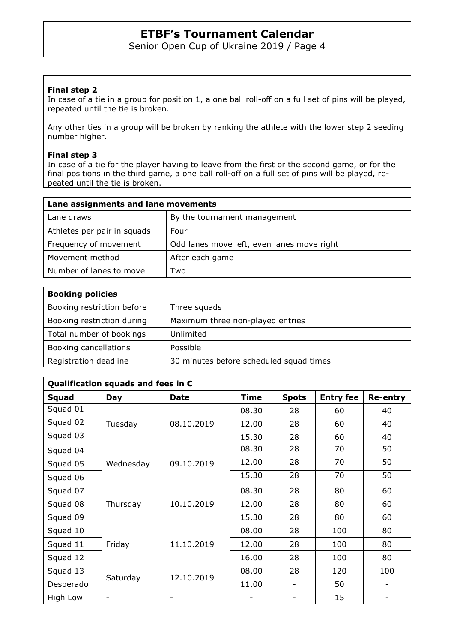Senior Open Cup of Ukraine 2019 / Page 4

### **Final step 2**

In case of a tie in a group for position 1, a one ball roll-off on a full set of pins will be played, repeated until the tie is broken.

Any other ties in a group will be broken by ranking the athlete with the lower step 2 seeding number higher.

#### **Final step 3**

In case of a tie for the player having to leave from the first or the second game, or for the final positions in the third game, a one ball roll-off on a full set of pins will be played, repeated until the tie is broken.

| Lane assignments and lane movements |                                            |
|-------------------------------------|--------------------------------------------|
| Lane draws                          | By the tournament management               |
| Athletes per pair in squads         | Four                                       |
| Frequency of movement               | Odd lanes move left, even lanes move right |
| Movement method                     | After each game                            |
| Number of lanes to move             | Two                                        |

| <b>Booking policies</b>    |                                         |
|----------------------------|-----------------------------------------|
| Booking restriction before | Three squads                            |
| Booking restriction during | Maximum three non-played entries        |
| Total number of bookings   | Unlimited                               |
| Booking cancellations      | Possible                                |
| Registration deadline      | 30 minutes before scheduled squad times |

| Qualification squads and fees in $\epsilon$ |                   |             |             |                          |                  |                 |  |
|---------------------------------------------|-------------------|-------------|-------------|--------------------------|------------------|-----------------|--|
| <b>Squad</b>                                | <b>Day</b>        | <b>Date</b> | <b>Time</b> | <b>Spots</b>             | <b>Entry fee</b> | <b>Re-entry</b> |  |
| Squad 01                                    | Tuesday           | 08.10.2019  | 08.30       | 28                       | 60               | 40              |  |
| Squad 02                                    |                   |             | 12.00       | 28                       | 60               | 40              |  |
| Squad 03                                    |                   |             | 15.30       | 28                       | 60               | 40              |  |
| Squad 04                                    | Wednesday         | 09.10.2019  | 08.30       | 28                       | 70               | 50              |  |
| Squad 05                                    |                   |             | 12.00       | 28                       | 70               | 50              |  |
| Squad 06                                    |                   |             | 15.30       | 28                       | 70               | 50              |  |
| Squad 07                                    | Thursday          | 10.10.2019  | 08.30       | 28                       | 80               | 60              |  |
| Squad 08                                    |                   |             | 12.00       | 28                       | 80               | 60              |  |
| Squad 09                                    |                   |             | 15.30       | 28                       | 80               | 60              |  |
| Squad 10                                    | Friday            | 11.10.2019  | 08.00       | 28                       | 100              | 80              |  |
| Squad 11                                    |                   |             | 12.00       | 28                       | 100              | 80              |  |
| Squad 12                                    |                   |             | 16.00       | 28                       | 100              | 80              |  |
| Squad 13                                    | Saturday          | 12.10.2019  | 08.00       | 28                       | 120              | 100             |  |
| Desperado                                   |                   |             | 11.00       | $\overline{\phantom{a}}$ | 50               |                 |  |
| High Low                                    | $\qquad \qquad -$ |             |             |                          | 15               |                 |  |